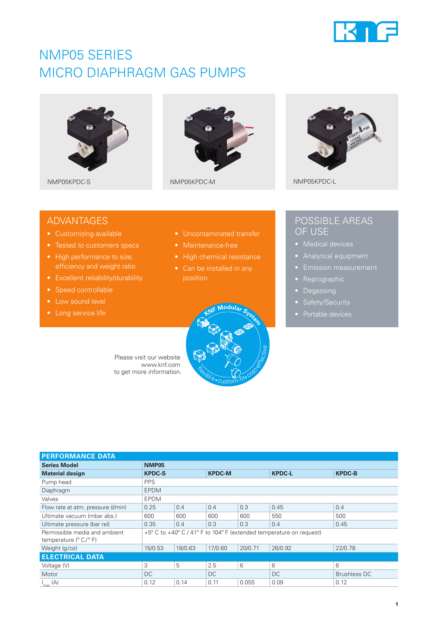

## NMP05 SERIES MICRO DIAPHRAGM GAS PUMPS







### ADVANTAGES

- Customizing available
- 
- High performance to size, efficiency and weight ratio
- Excellent reliability/durability
- Speed controllable
- Low sound level
- 
- Uncontaminated transfer
- 
- 
- position



### POSSIBLE AREAS OF USE

- 
- 
- 
- Reprographic
- Degassing
- 
- 

Please visit our website www.knf.com to get more information.

| <b>PERFORMANCE DATA</b>                                              |                                                                     |         |               |         |               |                     |
|----------------------------------------------------------------------|---------------------------------------------------------------------|---------|---------------|---------|---------------|---------------------|
| <b>Series Model</b>                                                  | <b>NMP05</b>                                                        |         |               |         |               |                     |
| <b>Material design</b>                                               | <b>KPDC-S</b>                                                       |         | <b>KPDC-M</b> |         | <b>KPDC-L</b> | <b>KPDC-B</b>       |
| Pump head                                                            | <b>PPS</b>                                                          |         |               |         |               |                     |
| Diaphragm                                                            | <b>EPDM</b>                                                         |         |               |         |               |                     |
| Valves                                                               | <b>EPDM</b>                                                         |         |               |         |               |                     |
| Flow rate at atm. pressure (I/min)                                   | 0.25                                                                | 0.4     | 0.4           | 0.3     | 0.45          | 0.4                 |
| Ultimate vacuum (mbar abs.)                                          | 600                                                                 | 600     | 600           | 600     | 550           | 500                 |
| Ultimate pressure (bar rel)                                          | 0.35                                                                | 0.4     | 0.3           | 0.3     | 0.4           | 0.45                |
| Permissible media and ambient<br>temperature $(^{\circ}C/^{\circ}F)$ | +5° C to +40° C / 41° F to 104° F (extended temperature on request) |         |               |         |               |                     |
| Weight (g/oz)                                                        | 15/0.53                                                             | 18/0.63 | 17/0.60       | 20/0.71 | 26/0.92       | 22/0.78             |
| <b>ELECTRICAL DATA</b>                                               |                                                                     |         |               |         |               |                     |
| Voltage (V)                                                          | 3                                                                   | 5       | 2.5           | 6       | 6             | 6                   |
| Motor                                                                | DC                                                                  |         | DC            |         | <b>DC</b>     | <b>Brushless DC</b> |
| $I_{\text{max}}(A)$                                                  | 0.12                                                                | 0.14    | 0.11          | 0.055   | 0.09          | 0.12                |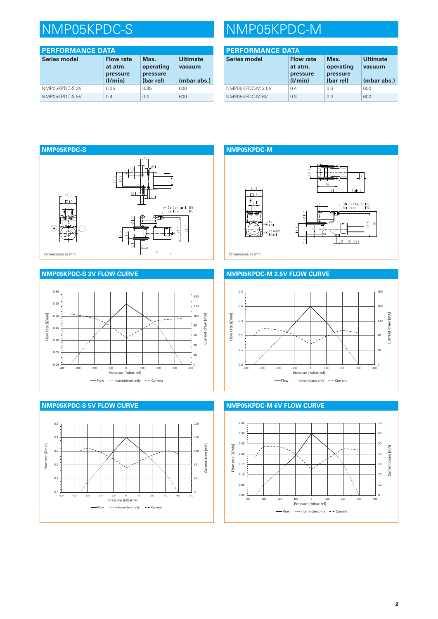## NMP05KPDC-S NMP05KPDC-M

| <b>PERFORMANCE DATA</b> |                                                    |                                            |                                          |
|-------------------------|----------------------------------------------------|--------------------------------------------|------------------------------------------|
| Series model            | <b>Flow rate</b><br>at atm.<br>pressure<br>(I/min) | Max.<br>operating<br>pressure<br>(bar rel) | <b>Ultimate</b><br>vacuum<br>(mbar abs.) |
| NMP05KPDC-S3V           | 0.25                                               | 0.35                                       | 600                                      |
| NMP05KPDC-S 5V          | 0.4                                                | 0.4                                        | 600                                      |

| <b>PERFORMANCE DATA</b> |                                                    |                                            |                                          |
|-------------------------|----------------------------------------------------|--------------------------------------------|------------------------------------------|
| <b>Series model</b>     | <b>Flow rate</b><br>at atm.<br>pressure<br>(1/min) | Max.<br>operating<br>pressure<br>(bar rel) | <b>Ultimate</b><br>vacuum<br>(mbar abs.) |
| NMP05KPDC-M 2.5V        | 0.4                                                | 0.3                                        | 600                                      |
| NMP05KPDC-M 6V          | 0.3                                                | 0.3                                        | 600                                      |



#### **NMP05KPDC-S 3V FLOW CURVE**







#### **NMP05KPDC-M 2.5V FLOW CURVE**



#### **NMP05KPDC-M 6V FLOW CURVE**

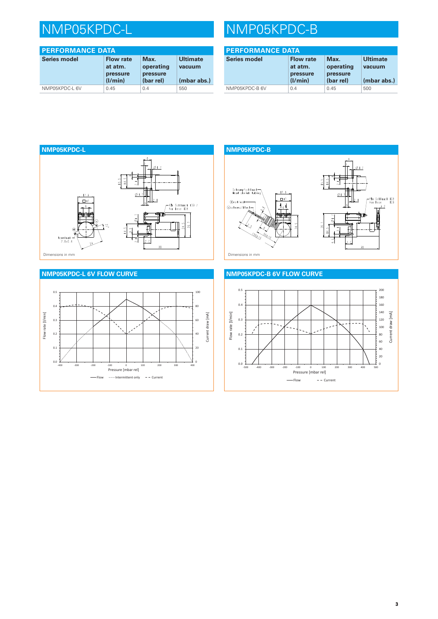| <b>PERFORMANCE DATA</b> |                                                    |                                            |                                          |  |
|-------------------------|----------------------------------------------------|--------------------------------------------|------------------------------------------|--|
| <b>Series model</b>     | <b>Flow rate</b><br>at atm.<br>pressure<br>(1/min) | Max.<br>operating<br>pressure<br>(bar rel) | <b>Ultimate</b><br>vacuum<br>(mbar abs.) |  |
| NMP05KPDC-L 6V          | 0.45                                               | 0.4                                        | 550                                      |  |

# NMP05KPDC-L NMP05KPDC-B

| <b>PERFORMANCE DATA</b> |                                                    |                                            |                                          |
|-------------------------|----------------------------------------------------|--------------------------------------------|------------------------------------------|
| <b>Series model</b>     | <b>Flow rate</b><br>at atm.<br>pressure<br>(1/min) | Max.<br>operating<br>pressure<br>(bar rel) | <b>Ultimate</b><br>vacuum<br>(mbar abs.) |
| NMP05KPDC-B 6V          | 0.4                                                | 0.45                                       | 500                                      |





## **NMP05KPDC-B** Schrumpfschlauch<br>Heat shrink tubing  $11.3$ ø  $\Box$  $Q$ rot/red  $+$   $+$ Cachwarz/black